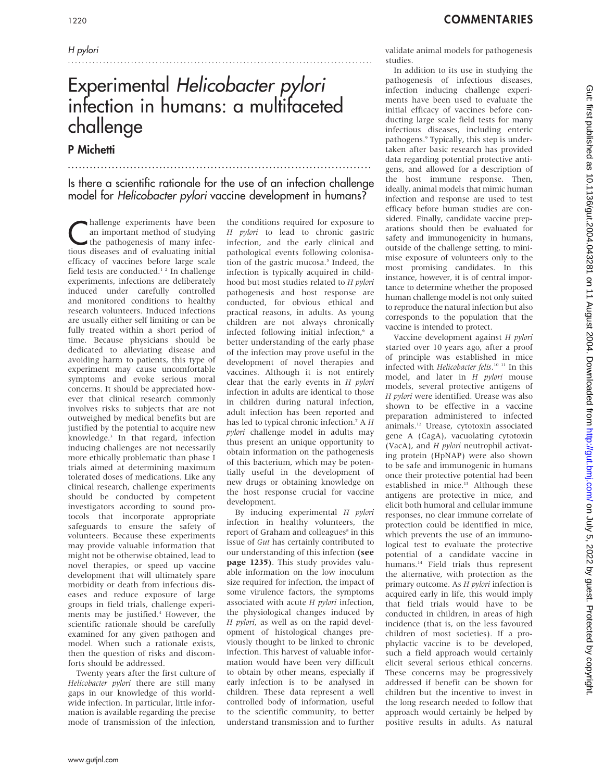### H pylori .......................................................................................

# Experimental Helicobacter pylori infection in humans: a multifaceted challenge

## P Michetti

## Is there a scientific rationale for the use of an infection challenge model for Helicobacter pylori vaccine development in humans?

...................................................................................

Challenge experiments have been<br>an important method of studying<br>the pathogenesis of many infecan important method of studying the pathogenesis of many infectious diseases and of evaluating initial efficacy of vaccines before large scale field tests are conducted.<sup>1</sup> <sup>2</sup> In challenge experiments, infections are deliberately induced under carefully controlled and monitored conditions to healthy research volunteers. Induced infections are usually either self limiting or can be fully treated within a short period of time. Because physicians should be dedicated to alleviating disease and avoiding harm to patients, this type of experiment may cause uncomfortable symptoms and evoke serious moral concerns. It should be appreciated however that clinical research commonly involves risks to subjects that are not outweighed by medical benefits but are justified by the potential to acquire new knowledge.3 In that regard, infection inducing challenges are not necessarily more ethically problematic than phase I trials aimed at determining maximum tolerated doses of medications. Like any clinical research, challenge experiments should be conducted by competent investigators according to sound protocols that incorporate appropriate safeguards to ensure the safety of volunteers. Because these experiments may provide valuable information that might not be otherwise obtained, lead to novel therapies, or speed up vaccine development that will ultimately spare morbidity or death from infectious diseases and reduce exposure of large groups in field trials, challenge experiments may be justified.<sup>4</sup> However, the scientific rationale should be carefully examined for any given pathogen and model. When such a rationale exists, then the question of risks and discomforts should be addressed.

Twenty years after the first culture of Helicobacter pylori there are still many gaps in our knowledge of this worldwide infection. In particular, little information is available regarding the precise mode of transmission of the infection,

the conditions required for exposure to H pylori to lead to chronic gastric infection, and the early clinical and pathological events following colonisation of the gastric mucosa.<sup>5</sup> Indeed, the infection is typically acquired in childhood but most studies related to H pylori pathogenesis and host response are conducted, for obvious ethical and practical reasons, in adults. As young children are not always chronically infected following initial infection,<sup>6</sup> a better understanding of the early phase of the infection may prove useful in the development of novel therapies and vaccines. Although it is not entirely clear that the early events in  $H$  pylori infection in adults are identical to those in children during natural infection, adult infection has been reported and has led to typical chronic infection.<sup>7</sup> A H pylori challenge model in adults may thus present an unique opportunity to obtain information on the pathogenesis of this bacterium, which may be potentially useful in the development of new drugs or obtaining knowledge on the host response crucial for vaccine development.

By inducing experimental H pylori infection in healthy volunteers, the report of Graham and colleagues<sup>8</sup> in this issue of Gut has certainly contributed to our understanding of this infection (see page 1235). This study provides valuable information on the low inoculum size required for infection, the impact of some virulence factors, the symptoms associated with acute H pylori infection, the physiological changes induced by H pylori, as well as on the rapid development of histological changes previously thought to be linked to chronic infection. This harvest of valuable information would have been very difficult to obtain by other means, especially if early infection is to be analysed in children. These data represent a well controlled body of information, useful to the scientific community, to better understand transmission and to further

validate animal models for pathogenesis studies.

In addition to its use in studying the pathogenesis of infectious diseases, infection inducing challenge experiments have been used to evaluate the initial efficacy of vaccines before conducting large scale field tests for many infectious diseases, including enteric pathogens.<sup>9</sup> Typically, this step is undertaken after basic research has provided data regarding potential protective antigens, and allowed for a description of the host immune response. Then, ideally, animal models that mimic human infection and response are used to test efficacy before human studies are considered. Finally, candidate vaccine preparations should then be evaluated for safety and immunogenicity in humans, outside of the challenge setting, to minimise exposure of volunteers only to the most promising candidates. In this instance, however, it is of central importance to determine whether the proposed human challenge model is not only suited to reproduce the natural infection but also corresponds to the population that the vaccine is intended to protect.

Vaccine development against H pylori started over 10 years ago, after a proof of principle was established in mice infected with Helicobacter felis.<sup>10</sup> <sup>11</sup> In this model, and later in H pylori mouse models, several protective antigens of H pylori were identified. Urease was also shown to be effective in a vaccine preparation administered to infected animals.12 Urease, cytotoxin associated gene A (CagA), vacuolating cytotoxin (VacA), and H pylori neutrophil activating protein (HpNAP) were also shown to be safe and immunogenic in humans once their protective potential had been established in mice.<sup>13</sup> Although these antigens are protective in mice, and elicit both humoral and cellular immune responses, no clear immune correlate of protection could be identified in mice, which prevents the use of an immunological test to evaluate the protective potential of a candidate vaccine in humans.<sup>14</sup> Field trials thus represent the alternative, with protection as the primary outcome. As H pylori infection is acquired early in life, this would imply that field trials would have to be conducted in children, in areas of high incidence (that is, on the less favoured children of most societies). If a prophylactic vaccine is to be developed, such a field approach would certainly elicit several serious ethical concerns. These concerns may be progressively addressed if benefit can be shown for children but the incentive to invest in the long research needed to follow that approach would certainly be helped by positive results in adults. As natural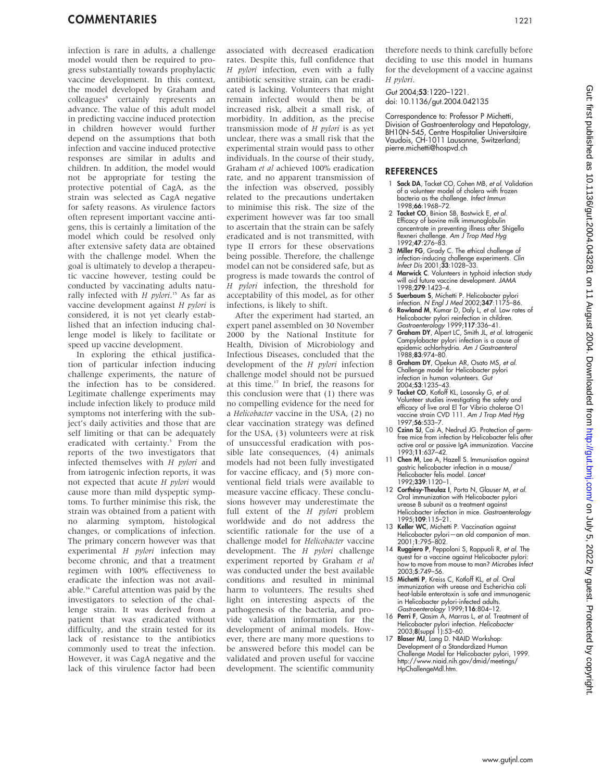infection is rare in adults, a challenge model would then be required to progress substantially towards prophylactic vaccine development. In this context, the model developed by Graham and colleagues<sup>8</sup> certainly represents an advance. The value of this adult model in predicting vaccine induced protection in children however would further depend on the assumptions that both infection and vaccine induced protective responses are similar in adults and children. In addition, the model would not be appropriate for testing the protective potential of CagA, as the strain was selected as CagA negative for safety reasons. As virulence factors often represent important vaccine antigens, this is certainly a limitation of the model which could be resolved only after extensive safety data are obtained with the challenge model. When the goal is ultimately to develop a therapeutic vaccine however, testing could be conducted by vaccinating adults naturally infected with H pylori.<sup>15</sup> As far as vaccine development against H pylori is considered, it is not yet clearly established that an infection inducing challenge model is likely to facilitate or speed up vaccine development.

In exploring the ethical justification of particular infection inducing challenge experiments, the nature of the infection has to be considered. Legitimate challenge experiments may include infection likely to produce mild symptoms not interfering with the subject's daily activities and those that are self limiting or that can be adequately eradicated with certainty.<sup>3</sup> From the reports of the two investigators that infected themselves with H pylori and from iatrogenic infection reports, it was not expected that acute H pylori would cause more than mild dyspeptic symptoms. To further minimise this risk, the strain was obtained from a patient with no alarming symptom, histological changes, or complications of infection. The primary concern however was that experimental H pylori infection may become chronic, and that a treatment regimen with 100% effectiveness to eradicate the infection was not available.16 Careful attention was paid by the investigators to selection of the challenge strain. It was derived from a patient that was eradicated without difficulty, and the strain tested for its lack of resistance to the antibiotics commonly used to treat the infection. However, it was CagA negative and the lack of this virulence factor had been

associated with decreased eradication rates. Despite this, full confidence that H pylori infection, even with a fully antibiotic sensitive strain, can be eradicated is lacking. Volunteers that might remain infected would then be at increased risk, albeit a small risk, of morbidity. In addition, as the precise transmission mode of H pylori is as yet unclear, there was a small risk that the experimental strain would pass to other individuals. In the course of their study, Graham et al achieved 100% eradication rate, and no apparent transmission of the infection was observed, possibly related to the precautions undertaken to minimise this risk. The size of the experiment however was far too small to ascertain that the strain can be safely eradicated and is not transmitted, with type II errors for these observations being possible. Therefore, the challenge model can not be considered safe, but as progress is made towards the control of H pylori infection, the threshold for acceptability of this model, as for other infections, is likely to shift.

After the experiment had started, an expert panel assembled on 30 November 2000 by the National Institute for Health, Division of Microbiology and Infectious Diseases, concluded that the development of the H pylori infection challenge model should not be pursued at this time.17 In brief, the reasons for this conclusion were that (1) there was no compelling evidence for the need for a Helicobacter vaccine in the USA, (2) no clear vaccination strategy was defined for the USA, (3) volunteers were at risk of unsuccessful eradication with possible late consequences, (4) animals models had not been fully investigated for vaccine efficacy, and (5) more conventional field trials were available to measure vaccine efficacy. These conclusions however may underestimate the full extent of the  $H$  *pylori* problem worldwide and do not address the scientific rationale for the use of a challenge model for Helicobacter vaccine development. The H pylori challenge experiment reported by Graham et al was conducted under the best available conditions and resulted in minimal harm to volunteers. The results shed light on interesting aspects of the pathogenesis of the bacteria, and provide validation information for the development of animal models. However, there are many more questions to be answered before this model can be validated and proven useful for vaccine development. The scientific community

therefore needs to think carefully before deciding to use this model in humans for the development of a vaccine against H pylori.

Gut 2004;53:1220–1221. doi: 10.1136/gut.2004.042135

Correspondence to: Professor P Michetti, Division of Gastroenterology and Hepatology, BH10N-545, Centre Hospitalier Universitaire Vaudois, CH-1011 Lausanne, Switzerland; pierre.michetti@hospvd.ch

### REFERENCES

- 1 Sack DA, Tacket CO, Cohen MB, et al. Validation of a volunteer model of cholera with frozen bacteria as the challenge. Infect Immun 1998;66:1968–72.
- 2 Tacket CO, Binion SB, Bostwick E, et al. Efficacy of bovine milk immunoglobulin concentrate in preventing illness after Shigella flexneri challenge. *Am J Trop Med Hyg*<br>1992;**47**:276–83.
- 3 Miller FG, Grady C. The ethical challenge of infection-inducing challenge experiments. *Clin*<br>I*nfect Dis* 2001;**33**:1028–33.
- 4 Marwick C. Volunteers in typhoid infection study will aid future vaccine development. JAMA 1998;279:1423–4.
- 5 Suerbaum S, Michetti P. Helicobacter pylori infection. N Engl J Med 2002;347:1175–86.
- 6 Rowland M, Kumar D, Daly L, et al. Low rates of Helicobacter pylori reinfection in children. Gastroenterology 1999;117:336–41.
- 7 Graham DY, Alpert LC, Smith JL, et al. latrogenic Campylobacter pylori infection is a cause of epidemic achlorhydria. Am J Gastroenterol 1988;83:974–80.
- 8 Graham DY, Opekun AR, Osato MS, et al. Challenge model for Helicobacter pylori infection in human volunteers. Gut 2004;53:1235–43.
- 9 Tacket CO, Kotloff KL, Losonsky G, et al. Volunteer studies investigating the safety and efficacy of live oral El Tor Vibrio cholerae O1 vaccine strain CVD 111. Am J Trop Med Hyg 1997;56:533–7.
- 10 Czinn SJ, Cai A, Nedrud JG. Protection of germfree mice from infection by Helicobacter felis after active oral or passive IgA immunization. Vaccine 1993;11:637–42.
- 11 **Chen M**, Lee A, Hazell S. Immunisation against gastric helicobacter infection in a mouse/ Helicobacter felis model. Lancet 1992;339:1120–1.
- 12 Corthésy-Theulaz I, Porta N, Glauser M, et al. Oral immunization with Helicobacter pylori urease B subunit as a treatment against Helicobacter infection in mice. Gastroenterology 1995;109:115–21.
- 13 Keller WC, Michetti P. Vaccination against Helicobacter pylori—an old companion of man. 2001;1:795–802.
- 14 Ruggiero P, Peppoloni S, Rappuoli R, et al. The quest for a vaccine against Helicobacter pylori: how to move from mouse to man? Microbes Infect 2003;5:749–56.
- 15 Michetti P, Kreiss C, Kotloff KL, et al. Oral immunization with urease and Escherichia coli heat-labile enterotoxin is safe and immunogenic in Helicobacter pylori-infected adults.
- Gastroenterology 1999;116:804–12. 16 Perri F, Qasim A, Marras L, et al. Treatment of Helicobacter pylori infection. Helicobacter 2003;8(suppl 1):53–60.
- 17 Blaser MJ, Lang D. NIAID Workshop: Development of a Standardized Human Challenge Model for Helicobacter pylori, 1999. http://www.niaid.nih.gov/dmid/meetings/ HpChallengeMdl.htm.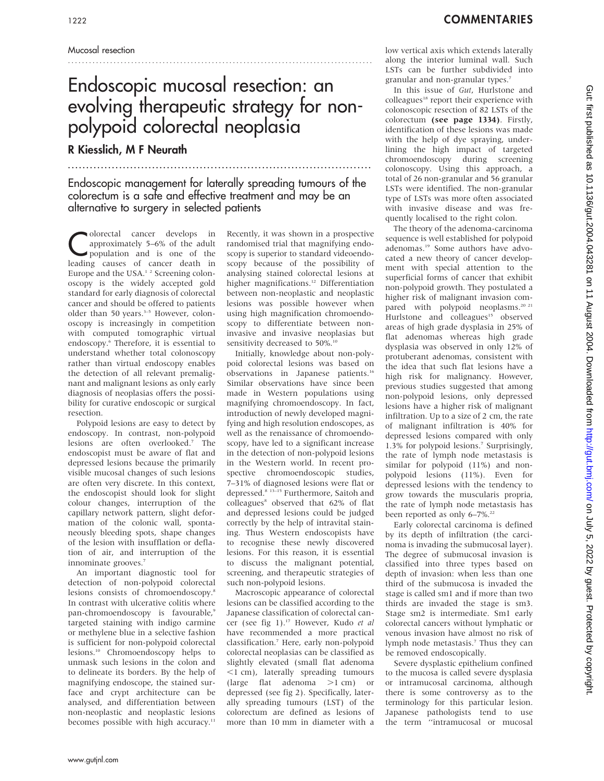### Mucosal resection .......................................................................................

# Endoscopic mucosal resection: an evolving therapeutic strategy for nonpolypoid colorectal neoplasia

R Kiesslich, M F Neurath

Endoscopic management for laterally spreading tumours of the colorectum is a safe and effective treatment and may be an alternative to surgery in selected patients

...................................................................................

Colorectal cancer develops in<br>
approximately 5–6% of the adult<br>
population and is one of the<br>
looding causes of cancer death in approximately 5–6% of the adult leading causes of cancer death in Europe and the USA.<sup>1</sup> <sup>2</sup> Screening colonoscopy is the widely accepted gold standard for early diagnosis of colorectal cancer and should be offered to patients older than 50 years.<sup>3-5</sup> However, colonoscopy is increasingly in competition with computed tomographic virtual endoscopy.6 Therefore, it is essential to understand whether total colonoscopy rather than virtual endoscopy enables the detection of all relevant premalignant and malignant lesions as only early diagnosis of neoplasias offers the possibility for curative endoscopic or surgical resection.

Polypoid lesions are easy to detect by endoscopy. In contrast, non-polypoid lesions are often overlooked.7 The endoscopist must be aware of flat and depressed lesions because the primarily visible mucosal changes of such lesions are often very discrete. In this context, the endoscopist should look for slight colour changes, interruption of the capillary network pattern, slight deformation of the colonic wall, spontaneously bleeding spots, shape changes of the lesion with insufflation or deflation of air, and interruption of the innominate grooves.<sup>7</sup>

An important diagnostic tool for detection of non-polypoid colorectal lesions consists of chromoendoscopy.8 In contrast with ulcerative colitis where pan-chromoendoscopy is favourable,<sup>9</sup> targeted staining with indigo carmine or methylene blue in a selective fashion is sufficient for non-polypoid colorectal lesions.10 Chromoendoscopy helps to unmask such lesions in the colon and to delineate its borders. By the help of magnifying endoscope, the stained surface and crypt architecture can be analysed, and differentiation between non-neoplastic and neoplastic lesions becomes possible with high accuracy.<sup>11</sup>

Recently, it was shown in a prospective randomised trial that magnifying endoscopy is superior to standard videoendoscopy because of the possibility of analysing stained colorectal lesions at higher magnifications.<sup>12</sup> Differentiation between non-neoplastic and neoplastic lesions was possible however when using high magnification chromoendoscopy to differentiate between noninvasive and invasive neoplasias but sensitivity decreased to 50%.<sup>10</sup>

Initially, knowledge about non-polypoid colorectal lesions was based on observations in Japanese patients.16 Similar observations have since been made in Western populations using magnifying chromoendoscopy. In fact, introduction of newly developed magnifying and high resolution endoscopes, as well as the renaissance of chromoendoscopy, have led to a significant increase in the detection of non-polypoid lesions in the Western world. In recent prospective chromoendoscopic studies, 7–31% of diagnosed lesions were flat or depressed.8 13–15 Furthermore, Saitoh and colleagues<sup>8</sup> observed that 62% of flat and depressed lesions could be judged correctly by the help of intravital staining. Thus Western endoscopists have to recognise these newly discovered lesions. For this reason, it is essential to discuss the malignant potential, screening, and therapeutic strategies of such non-polypoid lesions.

Macroscopic appearance of colorectal lesions can be classified according to the Japanese classification of colorectal cancer (see fig 1).<sup>17</sup> However, Kudo et al have recommended a more practical classification.7 Here, early non-polypoid colorectal neoplasias can be classified as slightly elevated (small flat adenoma <1 cm), laterally spreading tumours (large flat adenoma  $>1$  cm) or depressed (see fig 2). Specifically, laterally spreading tumours (LST) of the colorectum are defined as lesions of more than 10 mm in diameter with a low vertical axis which extends laterally along the interior luminal wall. Such LSTs can be further subdivided into granular and non-granular types.7

In this issue of Gut, Hurlstone and colleagues<sup>18</sup> report their experience with colonoscopic resection of 82 LSTs of the colorectum (see page 1334). Firstly, identification of these lesions was made with the help of dye spraying, underlining the high impact of targeted chromoendoscopy during screening colonoscopy. Using this approach, a total of 26 non-granular and 56 granular LSTs were identified. The non-granular type of LSTs was more often associated with invasive disease and was frequently localised to the right colon.

The theory of the adenoma-carcinoma sequence is well established for polypoid adenomas.19 Some authors have advocated a new theory of cancer development with special attention to the superficial forms of cancer that exhibit non-polypoid growth. They postulated a higher risk of malignant invasion compared with polypoid neoplasms.<sup>20 21</sup> Hurlstone and colleagues<sup>15</sup> observed areas of high grade dysplasia in 25% of flat adenomas whereas high grade dysplasia was observed in only 12% of protuberant adenomas, consistent with the idea that such flat lesions have a high risk for malignancy. However, previous studies suggested that among non-polypoid lesions, only depressed lesions have a higher risk of malignant infiltration. Up to a size of 2 cm, the rate of malignant infiltration is 40% for depressed lesions compared with only 1.3% for polypoid lesions.7 Surprisingly, the rate of lymph node metastasis is similar for polypoid (11%) and nonpolypoid lesions (11%). Even for depressed lesions with the tendency to grow towards the muscularis propria, the rate of lymph node metastasis has been reported as only 6-7%.<sup>22</sup>

Early colorectal carcinoma is defined by its depth of infiltration (the carcinoma is invading the submucosal layer). The degree of submucosal invasion is classified into three types based on depth of invasion: when less than one third of the submucosa is invaded the stage is called sm1 and if more than two thirds are invaded the stage is sm3. Stage sm2 is intermediate. Sm1 early colorectal cancers without lymphatic or venous invasion have almost no risk of lymph node metastasis.<sup>7</sup> Thus they can be removed endoscopically.

Severe dysplastic epithelium confined to the mucosa is called severe dysplasia or intramucosal carcinoma, although there is some controversy as to the terminology for this particular lesion. Japanese pathologists tend to use the term ''intramucosal or mucosal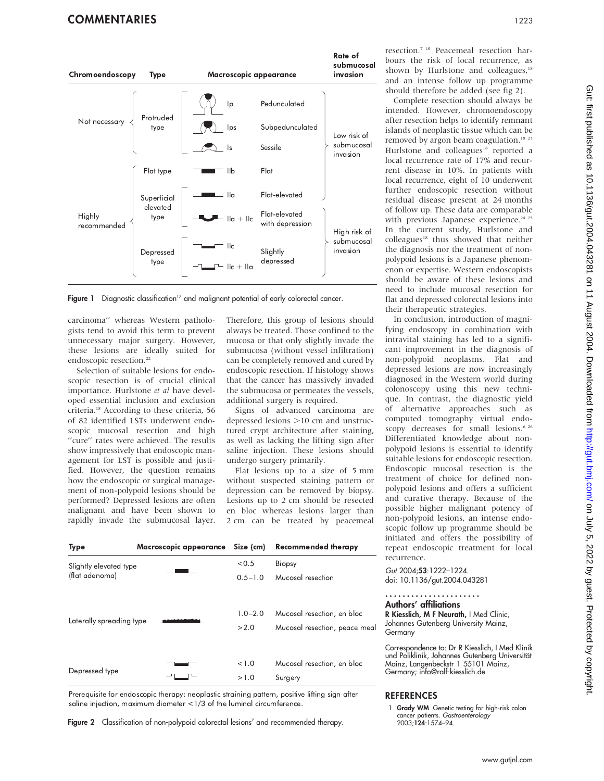

Figure 1 Diagnostic classification<sup>17</sup> and malignant potential of early colorectal cancer.

carcinoma'' whereas Western pathologists tend to avoid this term to prevent unnecessary major surgery. However, these lesions are ideally suited for endoscopic resection.<sup>22</sup>

Selection of suitable lesions for endoscopic resection is of crucial clinical importance. Hurlstone et al have developed essential inclusion and exclusion criteria.18 According to these criteria, 56 of 82 identified LSTs underwent endoscopic mucosal resection and high ''cure'' rates were achieved. The results show impressively that endoscopic management for LST is possible and justified. However, the question remains how the endoscopic or surgical management of non-polypoid lesions should be performed? Depressed lesions are often malignant and have been shown to rapidly invade the submucosal layer. Therefore, this group of lesions should always be treated. Those confined to the mucosa or that only slightly invade the submucosa (without vessel infiltration) can be completely removed and cured by endoscopic resection. If histology shows that the cancer has massively invaded the submucosa or permeates the vessels, additional surgery is required.

Signs of advanced carcinoma are depressed lesions >10 cm and unstructured crypt architecture after staining, as well as lacking the lifting sign after saline injection. These lesions should undergo surgery primarily.

Flat lesions up to a size of 5 mm without suspected staining pattern or depression can be removed by biopsy. Lesions up to 2 cm should be resected en bloc whereas lesions larger than 2 cm can be treated by peacemeal

resection.7 18 Peacemeal resection harbours the risk of local recurrence, as shown by Hurlstone and colleagues, $18$ and an intense follow up programme should therefore be added (see fig 2).

Complete resection should always be intended. However, chromoendoscopy after resection helps to identify remnant islands of neoplastic tissue which can be removed by argon beam coagulation.<sup>18</sup> <sup>23</sup> Hurlstone and colleagues<sup>18</sup> reported a local recurrence rate of 17% and recurrent disease in 10%. In patients with local recurrence, eight of 10 underwent further endoscopic resection without residual disease present at 24 months of follow up. These data are comparable with previous Japanese experience.<sup>24 25</sup> In the current study, Hurlstone and colleagues<sup>18</sup> thus showed that neither the diagnosis nor the treatment of nonpolypoid lesions is a Japanese phenomenon or expertise. Western endoscopists should be aware of these lesions and need to include mucosal resection for flat and depressed colorectal lesions into their therapeutic strategies.

In conclusion, introduction of magnifying endoscopy in combination with intravital staining has led to a significant improvement in the diagnosis of non-polypoid neoplasms. Flat and depressed lesions are now increasingly diagnosed in the Western world during colonoscopy using this new technique. In contrast, the diagnostic yield of alternative approaches such as computed tomography virtual endoscopy decreases for small lesions.<sup>6 26</sup> Differentiated knowledge about nonpolypoid lesions is essential to identify suitable lesions for endoscopic resection. Endoscopic mucosal resection is the treatment of choice for defined nonpolypoid lesions and offers a sufficient and curative therapy. Because of the possible higher malignant potency of non-polypoid lesions, an intense endoscopic follow up programme should be initiated and offers the possibility of repeat endoscopic treatment for local recurrence.

| <b>Type</b>                              | Macroscopic appearance | Size (cm)           | Recommended therapy                                         |
|------------------------------------------|------------------------|---------------------|-------------------------------------------------------------|
| Slightly elevated type<br>(flat adenoma) |                        | < 0.5               | Biopsy                                                      |
|                                          |                        | $0.5 - 1.0$         | Mucosal resection                                           |
| Laterally spreading type                 |                        | $1.0 - 2.0$<br>>2.0 | Mucosal resection, en bloc<br>Mucosal resection, peace meal |
| Depressed type                           |                        | < 1.0               | Mucosal resection, en bloc                                  |
|                                          |                        | >1.0                | Surgery                                                     |

Prerequisite for endoscopic therapy: neoplastic straining pattern, positive lifting sign after saline injection, maximum diameter <1/3 of the luminal circumference.

Figure 2 Classification of non-polypoid colorectal lesions<sup>7</sup> and recommended therapy.

#### Authors' affiliations ......................

Gut 2004;53:1222–1224. doi: 10.1136/gut.2004.043281

R Kiesslich, M F Neurath, I Med Clinic, Johannes Gutenberg University Mainz, **Germany** 

Correspondence to: Dr R Kiesslich, I Med Klinik und Poliklinik, Johannes Gutenberg Universität Mainz, Langenbeckstr 1 55101 Mainz, Germany; info@ralf-kiesslich.de

### **REFERENCES**

1 Grady WM. Genetic testing for high-risk colon cancer patients. Gastroenterology 2003;124:1574–94.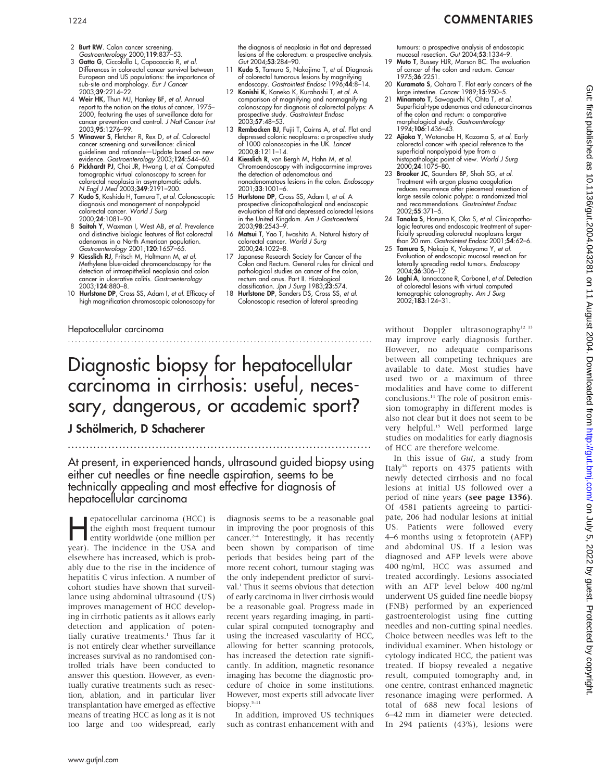- 
- 2 Burt RW. Colon cancer screening. Gastroenterology 2000;119:837–53.
- 3 Gatta G, Ciccolallo L, Capocaccia R, et al. Differences in colorectal cancer survival between European and US populations: the importance of sub-site and morphology. Eur J Cancer 2003;39:2214–22.
- 4 Weir HK, Thun MJ, Hankey BF, et al. Annual report to the nation on the status of cancer, 1975– 2000, featuring the uses of surveillance data for cancer prevention and control. J Natl Cancer Inst 2003;95:1276–99.
- 5 Winawer S, Fletcher R, Rex D, et al. Colorectal cancer screening and surveillance: clinical guidelines and rationale—Update based on new evidence. Gastroenterology 2003;124:544-60.
- 6 Pickhardt PJ, Choi JR, Hwang I, et al. Computed tomographic virtual colonoscopy to screen for colorectal neoplasia in asymptomatic adults. N Engl J Med 2003;349:2191–200.
- 7 Kudo S, Kashida H, Tamura T, et al. Colonoscopic diagnosis and management of nonpolypoid<br>colorectal cancer. *World J Surg* 2000;24:1081–90.
- 8 Saitoh Y, Waxman I, West AB, et al. Prevalence and distinctive biologic features of flat colorectal adenomas in a North American population. Gastroenterology 2001;120:1657–65.
- 9 Kiesslich RJ, Fritsch M, Holtmann M, et al. Methylene blue-aided chromoendoscopy for the detection of intraepithelial neoplasia and colon cancer in ulcerative colitis. Gastroenterology 2003;124:880–8.
- 10 Hurlstone DP, Cross SS, Adam I, et al. Efficacy of high magnification chromoscopic colonoscopy for

Hepatocellular carcinoma

the diagnosis of neoplasia in flat and depressed lesions of the colorectum: a prospective analysis. Gut 2004;53:284–90.

- 11 Kudo S, Tamura S, Nakajima T, et al. Diagnosis of colorectal tumorous lesions by magnifying
- endoscopy. *Gastrointest Endosc* 1996;**44**:8–14.<br>12 **Konishi K**, Kaneko K, Kurahashi T, *et al.* A comparison of magnifying and nonmagnifying colonoscopy for diagnosis of colorectal polyps: A prospective study. Gastrointest Endosc  $2003:57:48-53$
- 13 Rembacken BJ, Fujii T, Cairns A, et al. Flat and depressed colonic neoplasms: a prospective study of 1000 colonoscopies in the UK. Lancet 2000;8:1211–14.
- 14 Kiesslich R, von Bergh M, Hahn M, et al. Chromoendoscopy with indigocarmine improves the detection of adenomatous and nonadenomatous lesions in the colon. Endoscopy 2001;33:1001–6.
- 15 Hurlstone DP, Cross SS, Adam I, et al. A prospective clinicopathological and endoscopic evaluation of flat and depressed colorectal lesions in the United Kingdom. Am J Gastroenterol 2003;98:2543–9.
- 16 Matsui T, Yao T, Iwashita A. Natural history of colorectal cancer. World J Surg 2000;24:1022–8.
- 17 Japanese Research Society for Cancer of the Colon and Rectum. General rules for clinical and pathological studies on cancer of the colon, rectum and anus. Part II. Histological
- classification. Jpn J Surg 1983;23:574. 18 Hurlstone DP, Sanders DS, Cross SS, et al. Colonoscopic resection of lateral spreading

.......................................................................................

# Diagnostic biopsy for hepatocellular carcinoma in cirrhosis: useful, necessary, dangerous, or academic sport?

### J Schölmerich, D Schacherer

At present, in experienced hands, ultrasound guided biopsy using either cut needles or fine needle aspiration, seems to be technically appealing and most effective for diagnosis of hepatocellular carcinoma

...................................................................................

epatocellular carcinoma (HCC) is<br>the eighth most frequent tumour<br>entity worldwide (one million per the eighth most frequent tumour year). The incidence in the USA and elsewhere has increased, which is probably due to the rise in the incidence of hepatitis C virus infection. A number of cohort studies have shown that surveillance using abdominal ultrasound (US) improves management of HCC developing in cirrhotic patients as it allows early detection and application of potentially curative treatments.<sup>1</sup> Thus far it is not entirely clear whether surveillance increases survival as no randomised controlled trials have been conducted to answer this question. However, as eventually curative treatments such as resection, ablation, and in particular liver transplantation have emerged as effective means of treating HCC as long as it is not too large and too widespread, early

diagnosis seems to be a reasonable goal in improving the poor prognosis of this cancer.<sup>2-4</sup> Interestingly, it has recently been shown by comparison of time periods that besides being part of the more recent cohort, tumour staging was the only independent predictor of survival.<sup>1</sup> Thus it seems obvious that detection of early carcinoma in liver cirrhosis would be a reasonable goal. Progress made in recent years regarding imaging, in particular spiral computed tomography and using the increased vascularity of HCC, allowing for better scanning protocols, has increased the detection rate significantly. In addition, magnetic resonance imaging has become the diagnostic procedure of choice in some institutions. However, most experts still advocate liver biopsy.<sup>5-11</sup>

In addition, improved US techniques such as contrast enhancement with and tumours: a prospective analysis of endoscopic mucosal resection. Gut 2004;53:1334–9.

- 19 Muto T, Bussey HJR, Morson BC. The evaluation of cancer of the colon and rectum. Cancer 1975;36:2251.
- 20 Kuramoto S, Oohara T. Flat early cancers of the large intestine. Cancer 1989;15:950-5.
- 21 Minamoto T, Sawaguchi K, Ohta T, et al. Superficial-type adenomas and adenocarcinomas of the colon and rectum: a comparative morphological study. Gastroenterology 1994;106:1436–43.
- 22 **Ajioka Y**, Watanabe H, Kazama S, *et al.* Early<br>colorectal cancer with special reference to the<br>superficial nonpolypoid type from a histopathologic point of view. World J Surg 2000;24:1075–80.
- 23 Brooker JC, Saunders BP, Shah SG, et al. Treatment with argon plasma coagulation reduces recurrence after piecemeal resection of large sessile colonic polyps: a randomized trial and recommendations. Gastrointest Endosc 2002;55:371–5.
- 24 Tanaka S, Haruma K, Oka S, et al. Clinicopathologic features and endoscopic treatment of superficially spreading colorectal neoplasms large than 20 mm. Gastrointest Endosc 2001;54:62-6.
- 25 Tamura S, Nakajo K, Yokoyama Y, et al. Evaluation of endoscopic mucosal resection for laterally spreading rectal tumors. Endoscopy 2004;36:306–12.
- 26 Laghi A, Iannaccone R, Carbone I, et al. Detection of colorectal lesions with virtual computed tomographic colonography. Am J Surg 2002;183:124–31.

without Doppler ultrasonography<sup>12 13</sup> may improve early diagnosis further. However, no adequate comparisons between all competing techniques are available to date. Most studies have used two or a maximum of three modalities and have come to different conclusions.14 The role of positron emission tomography in different modes is also not clear but it does not seem to be very helpful.<sup>15</sup> Well performed large studies on modalities for early diagnosis of HCC are therefore welcome.

In this issue of Gut, a study from Italy<sup>16</sup> reports on 4375 patients with newly detected cirrhosis and no focal lesions at initial US followed over a period of nine years (see page 1356). Of 4581 patients agreeing to participate, 206 had nodular lesions at initial US. Patients were followed every 4–6 months using  $\alpha$  fetoprotein (AFP) and abdominal US. If a lesion was diagnosed and AFP levels were above 400 ng/ml, HCC was assumed and treated accordingly. Lesions associated with an AFP level below 400 ng/ml underwent US guided fine needle biopsy (FNB) performed by an experienced gastroenterologist using fine cutting needles and non-cutting spinal needles. Choice between needles was left to the individual examiner. When histology or cytology indicated HCC, the patient was treated. If biopsy revealed a negative result, computed tomography and, in one centre, contrast enhanced magnetic resonance imaging were performed. A total of 688 new focal lesions of 6–42 mm in diameter were detected. In 294 patients (43%), lesions were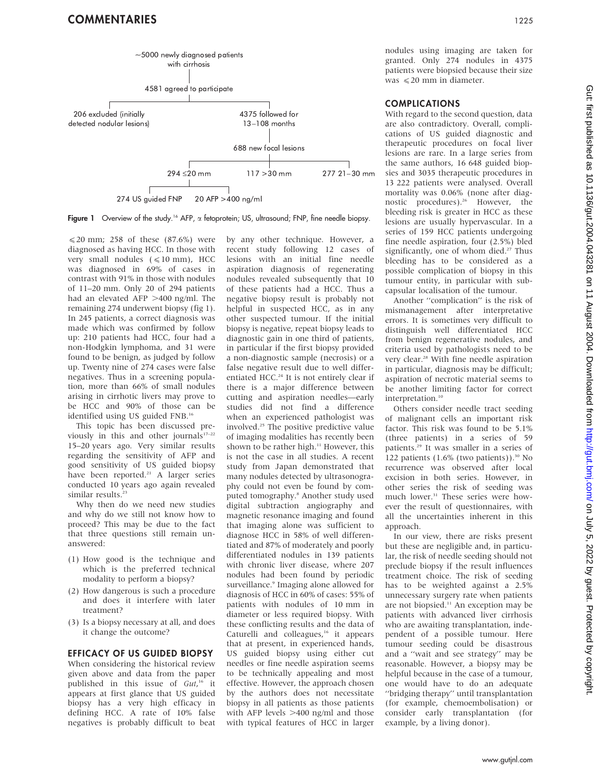

Figure 1 Overview of the study.<sup>16</sup> AFP,  $\alpha$  fetoprotein; US, ultrasound; FNP, fine needle biopsy.

 $\leq$  20 mm; 258 of these (87.6%) were diagnosed as having HCC. In those with very small nodules  $( $10 \text{ mm}$ ), HCC)$ was diagnosed in 69% of cases in contrast with 91% in those with nodules of 11–20 mm. Only 20 of 294 patients had an elevated AFP  $>400$  ng/ml. The remaining 274 underwent biopsy (fig 1). In 245 patients, a correct diagnosis was made which was confirmed by follow up: 210 patients had HCC, four had a non-Hodgkin lymphoma, and 31 were found to be benign, as judged by follow up. Twenty nine of 274 cases were false negatives. Thus in a screening population, more than 66% of small nodules arising in cirrhotic livers may prove to be HCC and 90% of those can be identified using US guided FNB.16

This topic has been discussed previously in this and other journals $17-22$ 15–20 years ago. Very similar results regarding the sensitivity of AFP and good sensitivity of US guided biopsy have been reported.<sup>21</sup> A larger series conducted 10 years ago again revealed similar results.<sup>23</sup>

Why then do we need new studies and why do we still not know how to proceed? This may be due to the fact that three questions still remain unanswered:

- (1) How good is the technique and which is the preferred technical modality to perform a biopsy?
- (2) How dangerous is such a procedure and does it interfere with later treatment?
- (3) Is a biopsy necessary at all, and does it change the outcome?

### EFFICACY OF US GUIDED BIOPSY

When considering the historical review given above and data from the paper published in this issue of Gut,<sup>16</sup> it appears at first glance that US guided biopsy has a very high efficacy in defining HCC. A rate of 10% false negatives is probably difficult to beat by any other technique. However, a recent study following 12 cases of lesions with an initial fine needle aspiration diagnosis of regenerating nodules revealed subsequently that 10 of these patients had a HCC. Thus a negative biopsy result is probably not helpful in suspected HCC, as in any other suspected tumour. If the initial biopsy is negative, repeat biopsy leads to diagnostic gain in one third of patients, in particular if the first biopsy provided a non-diagnostic sample (necrosis) or a false negative result due to well differentiated HCC.<sup>24</sup> It is not entirely clear if there is a major difference between cutting and aspiration needles—early studies did not find a difference when an experienced pathologist was involved.25 The positive predictive value of imaging modalities has recently been shown to be rather high.<sup>11</sup> However, this is not the case in all studies. A recent study from Japan demonstrated that many nodules detected by ultrasonography could not even be found by computed tomography.<sup>8</sup> Another study used digital subtraction angiography and magnetic resonance imaging and found that imaging alone was sufficient to diagnose HCC in 58% of well differentiated and 87% of moderately and poorly differentiated nodules in 139 patients with chronic liver disease, where 207 nodules had been found by periodic surveillance.<sup>9</sup> Imaging alone allowed for diagnosis of HCC in 60% of cases: 55% of patients with nodules of 10 mm in diameter or less required biopsy. With these conflicting results and the data of Caturelli and colleagues,<sup>16</sup> it appears that at present, in experienced hands, US guided biopsy using either cut needles or fine needle aspiration seems to be technically appealing and most effective. However, the approach chosen by the authors does not necessitate biopsy in all patients as those patients with AFP levels  $>400$  ng/ml and those with typical features of HCC in larger

nodules using imaging are taken for granted. Only 274 nodules in 4375 patients were biopsied because their size was  $\leq 20$  mm in diameter.

### COMPLICATIONS

With regard to the second question, data are also contradictory. Overall, complications of US guided diagnostic and therapeutic procedures on focal liver lesions are rare. In a large series from the same authors, 16 648 guided biopsies and 3035 therapeutic procedures in 13 222 patients were analysed. Overall mortality was 0.06% (none after diagnostic procedures).26 However, the bleeding risk is greater in HCC as these lesions are usually hypervascular. In a series of 159 HCC patients undergoing fine needle aspiration, four (2.5%) bled significantly, one of whom died.<sup>27</sup> Thus bleeding has to be considered as a possible complication of biopsy in this tumour entity, in particular with subcapsular localisation of the tumour.

Another ''complication'' is the risk of mismanagement after interpretative errors. It is sometimes very difficult to distinguish well differentiated HCC from benign regenerative nodules, and criteria used by pathologists need to be very clear.<sup>28</sup> With fine needle aspiration in particular, diagnosis may be difficult; aspiration of necrotic material seems to be another limiting factor for correct interpretation.<sup>10</sup>

Others consider needle tract seeding of malignant cells an important risk factor. This risk was found to be 5.1% (three patients) in a series of 59 patients.29 It was smaller in a series of 122 patients  $(1.6\%$  (two patients)).<sup>30</sup> No recurrence was observed after local excision in both series. However, in other series the risk of seeding was much lower.<sup>31</sup> These series were however the result of questionnaires, with all the uncertainties inherent in this approach.

In our view, there are risks present but these are negligible and, in particular, the risk of needle seeding should not preclude biopsy if the result influences treatment choice. The risk of seeding has to be weighted against a 2.5% unnecessary surgery rate when patients are not biopsied.<sup>11</sup> An exception may be patients with advanced liver cirrhosis who are awaiting transplantation, independent of a possible tumour. Here tumour seeding could be disastrous and a ''wait and see strategy'' may be reasonable. However, a biopsy may be helpful because in the case of a tumour, one would have to do an adequate ''bridging therapy'' until transplantation (for example, chemoembolisation) or consider early transplantation (for example, by a living donor).